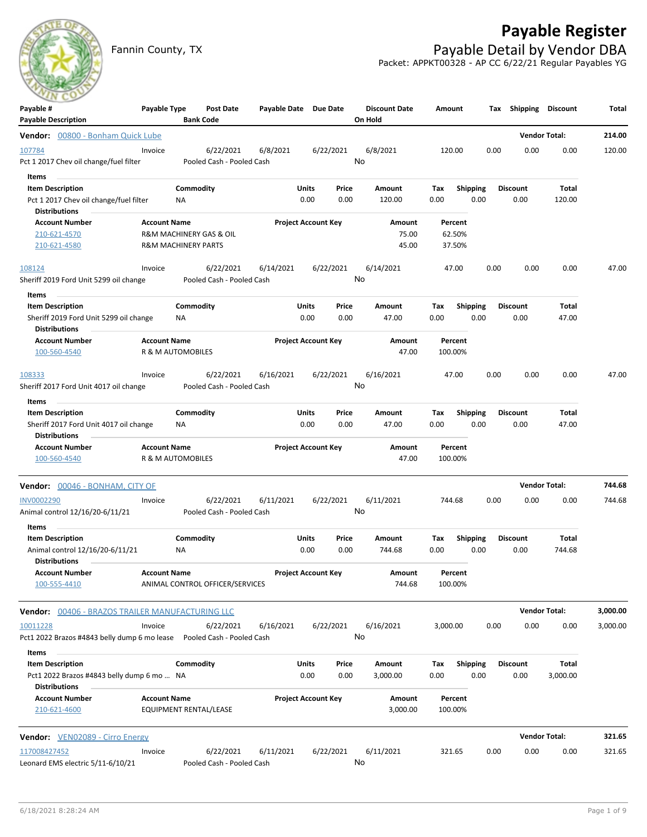## **Payable Register**

Fannin County, TX **Payable Detail by Vendor DBA** Packet: APPKT00328 - AP CC 6/22/21 Regular Payables YG

| Payable #<br><b>Payable Description</b>                                                            | Payable Type                                          |                        | Post Date<br><b>Bank Code</b>          | Payable Date Due Date |                            |               | <b>Discount Date</b><br>On Hold | Amount                      |                         |      | Tax Shipping            | <b>Discount</b>        | Total    |
|----------------------------------------------------------------------------------------------------|-------------------------------------------------------|------------------------|----------------------------------------|-----------------------|----------------------------|---------------|---------------------------------|-----------------------------|-------------------------|------|-------------------------|------------------------|----------|
| Vendor: 00800 - Bonham Quick Lube                                                                  |                                                       |                        |                                        |                       |                            |               |                                 |                             |                         |      |                         | <b>Vendor Total:</b>   | 214.00   |
| 107784<br>Pct 1 2017 Chev oil change/fuel filter                                                   | Invoice                                               |                        | 6/22/2021<br>Pooled Cash - Pooled Cash | 6/8/2021              |                            | 6/22/2021     | 6/8/2021<br>No                  | 120.00                      |                         | 0.00 | 0.00                    | 0.00                   | 120.00   |
| Items<br><b>Item Description</b><br>Pct 1 2017 Chev oil change/fuel filter                         |                                                       | Commodity<br>ΝA        |                                        |                       | Units<br>0.00              | Price<br>0.00 | Amount<br>120.00                | Тах<br>0.00                 | <b>Shipping</b><br>0.00 |      | <b>Discount</b><br>0.00 | Total<br>120.00        |          |
| Distributions<br><b>Account Number</b><br>210-621-4570<br>210-621-4580                             | <b>Account Name</b><br><b>R&amp;M MACHINERY PARTS</b> |                        | R&M MACHINERY GAS & OIL                |                       | <b>Project Account Key</b> |               | Amount<br>75.00<br>45.00        | Percent<br>62.50%<br>37.50% |                         |      |                         |                        |          |
| 108124<br>Sheriff 2019 Ford Unit 5299 oil change                                                   | Invoice                                               |                        | 6/22/2021<br>Pooled Cash - Pooled Cash | 6/14/2021             |                            | 6/22/2021     | 6/14/2021<br>No                 | 47.00                       |                         | 0.00 | 0.00                    | 0.00                   | 47.00    |
| Items<br><b>Item Description</b><br>Sheriff 2019 Ford Unit 5299 oil change<br><b>Distributions</b> |                                                       | Commodity<br>NA        |                                        |                       | Units<br>0.00              | Price<br>0.00 | Amount<br>47.00                 | Tax<br>0.00                 | <b>Shipping</b><br>0.00 |      | <b>Discount</b><br>0.00 | Total<br>47.00         |          |
| <b>Account Number</b><br>100-560-4540                                                              | <b>Account Name</b><br>R & M AUTOMOBILES              |                        |                                        |                       | <b>Project Account Key</b> |               | Amount<br>47.00                 | Percent<br>100.00%          |                         |      |                         |                        |          |
| 108333<br>Sheriff 2017 Ford Unit 4017 oil change                                                   | Invoice                                               |                        | 6/22/2021<br>Pooled Cash - Pooled Cash | 6/16/2021             |                            | 6/22/2021     | 6/16/2021<br>No                 | 47.00                       |                         | 0.00 | 0.00                    | 0.00                   | 47.00    |
| Items<br><b>Item Description</b><br>Sheriff 2017 Ford Unit 4017 oil change<br><b>Distributions</b> |                                                       | Commodity<br><b>NA</b> |                                        |                       | Units<br>0.00              | Price<br>0.00 | Amount<br>47.00                 | Tax<br>0.00                 | <b>Shipping</b><br>0.00 |      | <b>Discount</b><br>0.00 | Total<br>47.00         |          |
| <b>Account Number</b><br>100-560-4540                                                              | <b>Account Name</b><br>R & M AUTOMOBILES              |                        |                                        |                       | <b>Project Account Key</b> |               | Amount<br>47.00                 | Percent<br>100.00%          |                         |      |                         |                        |          |
| <b>Vendor:</b> 00046 - BONHAM, CITY OF                                                             |                                                       |                        |                                        |                       |                            |               |                                 |                             |                         |      |                         | <b>Vendor Total:</b>   | 744.68   |
| <b>INV0002290</b><br>Animal control 12/16/20-6/11/21                                               | Invoice                                               |                        | 6/22/2021<br>Pooled Cash - Pooled Cash | 6/11/2021             |                            | 6/22/2021     | 6/11/2021<br>No                 | 744.68                      |                         | 0.00 | 0.00                    | 0.00                   | 744.68   |
| Items<br><b>Item Description</b><br>Animal control 12/16/20-6/11/21<br><b>Distributions</b>        |                                                       | Commodity<br>ΝA        |                                        |                       | Units<br>0.00              | Price<br>0.00 | Amount<br>744.68                | Tax<br>0.00                 | <b>Shipping</b><br>0.00 |      | <b>Discount</b><br>0.00 | <b>Total</b><br>744.68 |          |
| <b>Account Number</b><br>100-555-4410                                                              | <b>Account Name</b>                                   |                        | ANIMAL CONTROL OFFICER/SERVICES        |                       | <b>Project Account Key</b> |               | Amount<br>744.68                | Percent<br>100.00%          |                         |      |                         |                        |          |
| Vendor: 00406 - BRAZOS TRAILER MANUFACTURING LLC                                                   |                                                       |                        |                                        |                       |                            |               |                                 |                             |                         |      |                         | <b>Vendor Total:</b>   | 3,000.00 |
| 10011228<br>Pct1 2022 Brazos #4843 belly dump 6 mo lease<br>Items                                  | Invoice                                               |                        | 6/22/2021<br>Pooled Cash - Pooled Cash | 6/16/2021             |                            | 6/22/2021     | 6/16/2021<br>No                 | 3,000.00                    |                         | 0.00 | 0.00                    | 0.00                   | 3,000.00 |
| <b>Item Description</b><br>Pct1 2022 Brazos #4843 belly dump 6 mo  NA<br>Distributions             |                                                       | Commodity              |                                        |                       | <b>Units</b><br>0.00       | Price<br>0.00 | Amount<br>3,000.00              | Tax<br>0.00                 | Shipping<br>0.00        |      | <b>Discount</b><br>0.00 | Total<br>3,000.00      |          |
| <b>Account Number</b><br>210-621-4600                                                              | <b>Account Name</b>                                   |                        | EQUIPMENT RENTAL/LEASE                 |                       | <b>Project Account Key</b> |               | Amount<br>3,000.00              | Percent<br>100.00%          |                         |      |                         |                        |          |
| Vendor: VEN02089 - Cirro Energy                                                                    |                                                       |                        |                                        |                       |                            |               |                                 |                             |                         |      |                         | <b>Vendor Total:</b>   | 321.65   |
| 117008427452<br>Leonard EMS electric 5/11-6/10/21                                                  | Invoice                                               |                        | 6/22/2021<br>Pooled Cash - Pooled Cash | 6/11/2021             |                            | 6/22/2021     | 6/11/2021<br>No                 | 321.65                      |                         | 0.00 | 0.00                    | 0.00                   | 321.65   |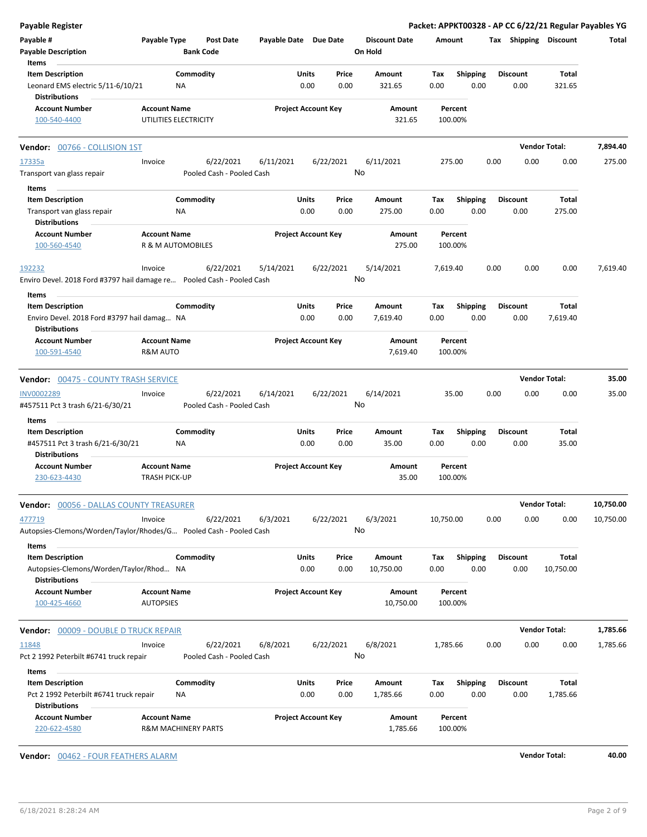| <b>Payable Register</b>                                                                        |                                              |                        |                                        |                       |                            |               |                                 |             |                         |      |                         |                      | Packet: APPKT00328 - AP CC 6/22/21 Regular Payables YG |
|------------------------------------------------------------------------------------------------|----------------------------------------------|------------------------|----------------------------------------|-----------------------|----------------------------|---------------|---------------------------------|-------------|-------------------------|------|-------------------------|----------------------|--------------------------------------------------------|
| Payable #<br><b>Payable Description</b>                                                        | Payable Type                                 | <b>Bank Code</b>       | <b>Post Date</b>                       | Payable Date Due Date |                            |               | <b>Discount Date</b><br>On Hold | Amount      |                         |      | Tax Shipping Discount   |                      | Total                                                  |
| Items                                                                                          |                                              |                        |                                        |                       |                            |               |                                 |             |                         |      |                         |                      |                                                        |
| <b>Item Description</b><br>Leonard EMS electric 5/11-6/10/21<br><b>Distributions</b>           |                                              | Commodity<br>ΝA        |                                        |                       | Units<br>0.00              | Price<br>0.00 | Amount<br>321.65                | Tax<br>0.00 | <b>Shipping</b><br>0.00 |      | <b>Discount</b><br>0.00 | Total<br>321.65      |                                                        |
| <b>Account Number</b><br>100-540-4400                                                          | <b>Account Name</b><br>UTILITIES ELECTRICITY |                        |                                        |                       | <b>Project Account Key</b> |               | Amount<br>321.65                |             | Percent<br>100.00%      |      |                         |                      |                                                        |
| Vendor: 00766 - COLLISION 1ST                                                                  |                                              |                        |                                        |                       |                            |               |                                 |             |                         |      |                         | <b>Vendor Total:</b> | 7,894.40                                               |
| 17335a                                                                                         | Invoice                                      |                        | 6/22/2021                              | 6/11/2021             |                            | 6/22/2021     | 6/11/2021                       |             | 275.00                  | 0.00 | 0.00                    | 0.00                 | 275.00                                                 |
| Transport van glass repair                                                                     |                                              |                        | Pooled Cash - Pooled Cash              |                       |                            |               | No                              |             |                         |      |                         |                      |                                                        |
| Items                                                                                          |                                              |                        |                                        |                       |                            |               |                                 |             |                         |      |                         |                      |                                                        |
| <b>Item Description</b>                                                                        |                                              | Commodity              |                                        |                       | Units                      | Price         | Amount                          | Tax         | Shipping                |      | <b>Discount</b>         | Total                |                                                        |
| Transport van glass repair<br><b>Distributions</b>                                             |                                              | ΝA                     |                                        |                       | 0.00                       | 0.00          | 275.00                          | 0.00        | 0.00                    |      | 0.00                    | 275.00               |                                                        |
| <b>Account Number</b><br>100-560-4540                                                          | <b>Account Name</b><br>R & M AUTOMOBILES     |                        |                                        |                       | <b>Project Account Key</b> |               | Amount<br>275.00                |             | Percent<br>100.00%      |      |                         |                      |                                                        |
| 192232                                                                                         | Invoice                                      |                        | 6/22/2021                              | 5/14/2021             |                            | 6/22/2021     | 5/14/2021<br>No                 | 7,619.40    |                         | 0.00 | 0.00                    | 0.00                 | 7,619.40                                               |
| Enviro Devel. 2018 Ford #3797 hail damage re Pooled Cash - Pooled Cash                         |                                              |                        |                                        |                       |                            |               |                                 |             |                         |      |                         |                      |                                                        |
| Items                                                                                          |                                              |                        |                                        |                       |                            |               | Amount                          |             |                         |      |                         |                      |                                                        |
| <b>Item Description</b><br>Enviro Devel. 2018 Ford #3797 hail damag NA<br><b>Distributions</b> |                                              | Commodity              |                                        |                       | Units<br>0.00              | Price<br>0.00 | 7,619.40                        | Tax<br>0.00 | <b>Shipping</b><br>0.00 |      | <b>Discount</b><br>0.00 | Total<br>7,619.40    |                                                        |
| <b>Account Number</b><br>100-591-4540                                                          | <b>Account Name</b><br>R&M AUTO              |                        |                                        |                       | <b>Project Account Key</b> |               | Amount<br>7,619.40              |             | Percent<br>100.00%      |      |                         |                      |                                                        |
| Vendor: 00475 - COUNTY TRASH SERVICE                                                           |                                              |                        |                                        |                       |                            |               |                                 |             |                         |      |                         | <b>Vendor Total:</b> | 35.00                                                  |
| INV0002289                                                                                     | Invoice                                      |                        | 6/22/2021                              | 6/14/2021             |                            | 6/22/2021     | 6/14/2021                       |             | 35.00                   | 0.00 | 0.00                    | 0.00                 | 35.00                                                  |
| #457511 Pct 3 trash 6/21-6/30/21<br>Items                                                      |                                              |                        | Pooled Cash - Pooled Cash              |                       |                            |               | No                              |             |                         |      |                         |                      |                                                        |
| <b>Item Description</b><br>#457511 Pct 3 trash 6/21-6/30/21<br><b>Distributions</b>            |                                              | Commodity<br><b>NA</b> |                                        |                       | Units<br>0.00              | Price<br>0.00 | Amount<br>35.00                 | Tax<br>0.00 | <b>Shipping</b><br>0.00 |      | <b>Discount</b><br>0.00 | Total<br>35.00       |                                                        |
| <b>Account Number</b><br>230-623-4430                                                          | <b>Account Name</b><br><b>TRASH PICK-UP</b>  |                        |                                        |                       | <b>Project Account Key</b> |               | Amount<br>35.00                 |             | Percent<br>100.00%      |      |                         |                      |                                                        |
| <b>Vendor: 00056 - DALLAS COUNTY TREASURER</b>                                                 |                                              |                        |                                        |                       |                            |               |                                 |             |                         |      |                         | <b>Vendor Total:</b> | 10,750.00                                              |
| 477719<br>Autopsies-Clemons/Worden/Taylor/Rhodes/G Pooled Cash - Pooled Cash                   | Invoice                                      |                        | 6/22/2021                              | 6/3/2021              |                            | 6/22/2021     | 6/3/2021<br>No                  | 10,750.00   |                         | 0.00 | 0.00                    | 0.00                 | 10,750.00                                              |
| Items<br><b>Item Description</b>                                                               |                                              | Commodity              |                                        |                       | Units                      | Price         | Amount                          | Tax         | <b>Shipping</b>         |      | <b>Discount</b>         | Total                |                                                        |
| Autopsies-Clemons/Worden/Taylor/Rhod NA<br><b>Distributions</b>                                |                                              |                        |                                        |                       | 0.00                       | 0.00          | 10,750.00                       | 0.00        | 0.00                    |      | 0.00                    | 10,750.00            |                                                        |
| <b>Account Number</b><br>100-425-4660                                                          | <b>Account Name</b><br><b>AUTOPSIES</b>      |                        |                                        |                       | <b>Project Account Key</b> |               | Amount<br>10,750.00             |             | Percent<br>100.00%      |      |                         |                      |                                                        |
| <b>Vendor: 00009 - DOUBLE D TRUCK REPAIR</b>                                                   |                                              |                        |                                        |                       |                            |               |                                 |             |                         |      |                         | <b>Vendor Total:</b> | 1,785.66                                               |
| 11848<br>Pct 2 1992 Peterbilt #6741 truck repair                                               | Invoice                                      |                        | 6/22/2021<br>Pooled Cash - Pooled Cash | 6/8/2021              |                            | 6/22/2021     | 6/8/2021<br>No                  | 1,785.66    |                         | 0.00 | 0.00                    | 0.00                 | 1,785.66                                               |
| Items                                                                                          |                                              |                        |                                        |                       |                            |               |                                 |             |                         |      |                         |                      |                                                        |
| <b>Item Description</b>                                                                        |                                              | Commodity              |                                        |                       | Units                      | Price         | Amount                          | Tax         | <b>Shipping</b>         |      | <b>Discount</b>         | Total                |                                                        |
| Pct 2 1992 Peterbilt #6741 truck repair<br><b>Distributions</b>                                |                                              | ΝA                     |                                        |                       | 0.00                       | 0.00          | 1,785.66                        | 0.00        | 0.00                    |      | 0.00                    | 1,785.66             |                                                        |
| <b>Account Number</b><br>220-622-4580                                                          | <b>Account Name</b><br>R&M MACHINERY PARTS   |                        |                                        |                       | <b>Project Account Key</b> |               | Amount<br>1,785.66              |             | Percent<br>100.00%      |      |                         |                      |                                                        |

**Vendor:** 00462 - FOUR FEATHERS ALARM **Vendor Total: 40.00**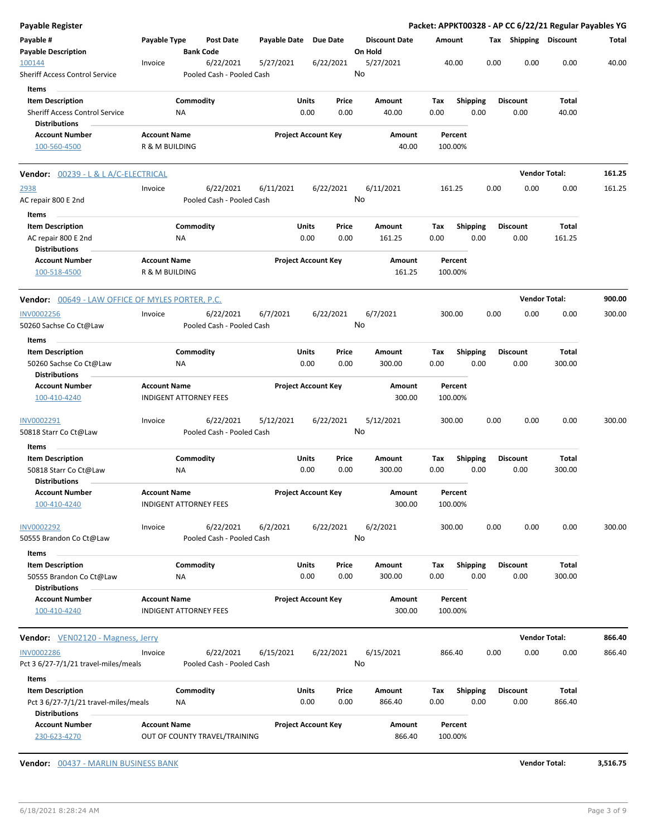|                                                 |    |                                                                                                                                                                                 |                                                                                                                                                                                                                                                                                                                                                         |                                                                                                                                                                            |                                                                                                                                         | <b>Discount Date</b>                                                                                                                                                                                                                                                                                                                                      |                                                                                                                   |                                   |                                                                                                                                                                                 |                                                                                                                                                  |                                                                                                                                                                                | Total                                                                                                                                                                                                  |
|-------------------------------------------------|----|---------------------------------------------------------------------------------------------------------------------------------------------------------------------------------|---------------------------------------------------------------------------------------------------------------------------------------------------------------------------------------------------------------------------------------------------------------------------------------------------------------------------------------------------------|----------------------------------------------------------------------------------------------------------------------------------------------------------------------------|-----------------------------------------------------------------------------------------------------------------------------------------|-----------------------------------------------------------------------------------------------------------------------------------------------------------------------------------------------------------------------------------------------------------------------------------------------------------------------------------------------------------|-------------------------------------------------------------------------------------------------------------------|-----------------------------------|---------------------------------------------------------------------------------------------------------------------------------------------------------------------------------|--------------------------------------------------------------------------------------------------------------------------------------------------|--------------------------------------------------------------------------------------------------------------------------------------------------------------------------------|--------------------------------------------------------------------------------------------------------------------------------------------------------------------------------------------------------|
| Invoice                                         |    |                                                                                                                                                                                 | 5/27/2021                                                                                                                                                                                                                                                                                                                                               |                                                                                                                                                                            |                                                                                                                                         | 5/27/2021                                                                                                                                                                                                                                                                                                                                                 |                                                                                                                   |                                   |                                                                                                                                                                                 | 0.00                                                                                                                                             | 0.00                                                                                                                                                                           | 40.00                                                                                                                                                                                                  |
|                                                 |    |                                                                                                                                                                                 |                                                                                                                                                                                                                                                                                                                                                         |                                                                                                                                                                            |                                                                                                                                         |                                                                                                                                                                                                                                                                                                                                                           |                                                                                                                   |                                   |                                                                                                                                                                                 |                                                                                                                                                  |                                                                                                                                                                                |                                                                                                                                                                                                        |
|                                                 | ΝA |                                                                                                                                                                                 |                                                                                                                                                                                                                                                                                                                                                         |                                                                                                                                                                            |                                                                                                                                         | Amount<br>40.00                                                                                                                                                                                                                                                                                                                                           | Tax<br>0.00                                                                                                       |                                   |                                                                                                                                                                                 | 0.00                                                                                                                                             | Total<br>40.00                                                                                                                                                                 |                                                                                                                                                                                                        |
|                                                 |    |                                                                                                                                                                                 |                                                                                                                                                                                                                                                                                                                                                         |                                                                                                                                                                            |                                                                                                                                         |                                                                                                                                                                                                                                                                                                                                                           |                                                                                                                   |                                   |                                                                                                                                                                                 |                                                                                                                                                  |                                                                                                                                                                                |                                                                                                                                                                                                        |
|                                                 |    |                                                                                                                                                                                 |                                                                                                                                                                                                                                                                                                                                                         |                                                                                                                                                                            |                                                                                                                                         | 40.00                                                                                                                                                                                                                                                                                                                                                     |                                                                                                                   |                                   |                                                                                                                                                                                 |                                                                                                                                                  |                                                                                                                                                                                |                                                                                                                                                                                                        |
| <b>Vendor:</b> 00239 - L & L A/C-ELECTRICAL     |    |                                                                                                                                                                                 |                                                                                                                                                                                                                                                                                                                                                         |                                                                                                                                                                            |                                                                                                                                         |                                                                                                                                                                                                                                                                                                                                                           |                                                                                                                   |                                   |                                                                                                                                                                                 |                                                                                                                                                  |                                                                                                                                                                                | 161.25                                                                                                                                                                                                 |
| Invoice                                         |    |                                                                                                                                                                                 | 6/11/2021                                                                                                                                                                                                                                                                                                                                               |                                                                                                                                                                            |                                                                                                                                         | 6/11/2021                                                                                                                                                                                                                                                                                                                                                 |                                                                                                                   |                                   |                                                                                                                                                                                 | 0.00                                                                                                                                             | 0.00                                                                                                                                                                           | 161.25                                                                                                                                                                                                 |
|                                                 |    |                                                                                                                                                                                 |                                                                                                                                                                                                                                                                                                                                                         |                                                                                                                                                                            |                                                                                                                                         |                                                                                                                                                                                                                                                                                                                                                           |                                                                                                                   |                                   |                                                                                                                                                                                 |                                                                                                                                                  |                                                                                                                                                                                |                                                                                                                                                                                                        |
|                                                 |    |                                                                                                                                                                                 |                                                                                                                                                                                                                                                                                                                                                         |                                                                                                                                                                            |                                                                                                                                         |                                                                                                                                                                                                                                                                                                                                                           |                                                                                                                   |                                   |                                                                                                                                                                                 |                                                                                                                                                  |                                                                                                                                                                                |                                                                                                                                                                                                        |
|                                                 |    |                                                                                                                                                                                 |                                                                                                                                                                                                                                                                                                                                                         |                                                                                                                                                                            |                                                                                                                                         |                                                                                                                                                                                                                                                                                                                                                           |                                                                                                                   |                                   |                                                                                                                                                                                 |                                                                                                                                                  |                                                                                                                                                                                |                                                                                                                                                                                                        |
|                                                 |    |                                                                                                                                                                                 |                                                                                                                                                                                                                                                                                                                                                         |                                                                                                                                                                            |                                                                                                                                         |                                                                                                                                                                                                                                                                                                                                                           |                                                                                                                   |                                   |                                                                                                                                                                                 |                                                                                                                                                  |                                                                                                                                                                                |                                                                                                                                                                                                        |
|                                                 |    |                                                                                                                                                                                 |                                                                                                                                                                                                                                                                                                                                                         |                                                                                                                                                                            |                                                                                                                                         | Amount<br>161.25                                                                                                                                                                                                                                                                                                                                          |                                                                                                                   |                                   |                                                                                                                                                                                 |                                                                                                                                                  |                                                                                                                                                                                |                                                                                                                                                                                                        |
|                                                 |    |                                                                                                                                                                                 |                                                                                                                                                                                                                                                                                                                                                         |                                                                                                                                                                            |                                                                                                                                         |                                                                                                                                                                                                                                                                                                                                                           |                                                                                                                   |                                   |                                                                                                                                                                                 |                                                                                                                                                  |                                                                                                                                                                                | 900.00                                                                                                                                                                                                 |
| Invoice                                         |    |                                                                                                                                                                                 | 6/7/2021                                                                                                                                                                                                                                                                                                                                                |                                                                                                                                                                            |                                                                                                                                         | 6/7/2021                                                                                                                                                                                                                                                                                                                                                  |                                                                                                                   |                                   |                                                                                                                                                                                 | 0.00                                                                                                                                             | 0.00                                                                                                                                                                           | 300.00                                                                                                                                                                                                 |
|                                                 |    |                                                                                                                                                                                 |                                                                                                                                                                                                                                                                                                                                                         |                                                                                                                                                                            |                                                                                                                                         |                                                                                                                                                                                                                                                                                                                                                           |                                                                                                                   |                                   |                                                                                                                                                                                 |                                                                                                                                                  |                                                                                                                                                                                |                                                                                                                                                                                                        |
|                                                 |    |                                                                                                                                                                                 |                                                                                                                                                                                                                                                                                                                                                         |                                                                                                                                                                            |                                                                                                                                         | Amount                                                                                                                                                                                                                                                                                                                                                    | Tax                                                                                                               |                                   |                                                                                                                                                                                 |                                                                                                                                                  | Total                                                                                                                                                                          |                                                                                                                                                                                                        |
|                                                 |    |                                                                                                                                                                                 |                                                                                                                                                                                                                                                                                                                                                         |                                                                                                                                                                            |                                                                                                                                         |                                                                                                                                                                                                                                                                                                                                                           |                                                                                                                   |                                   |                                                                                                                                                                                 |                                                                                                                                                  |                                                                                                                                                                                |                                                                                                                                                                                                        |
|                                                 |    |                                                                                                                                                                                 |                                                                                                                                                                                                                                                                                                                                                         |                                                                                                                                                                            |                                                                                                                                         | 300.00                                                                                                                                                                                                                                                                                                                                                    |                                                                                                                   |                                   |                                                                                                                                                                                 |                                                                                                                                                  |                                                                                                                                                                                |                                                                                                                                                                                                        |
| Invoice                                         |    |                                                                                                                                                                                 | 5/12/2021                                                                                                                                                                                                                                                                                                                                               |                                                                                                                                                                            |                                                                                                                                         | 5/12/2021                                                                                                                                                                                                                                                                                                                                                 |                                                                                                                   |                                   |                                                                                                                                                                                 | 0.00                                                                                                                                             | 0.00                                                                                                                                                                           | 300.00                                                                                                                                                                                                 |
|                                                 |    |                                                                                                                                                                                 |                                                                                                                                                                                                                                                                                                                                                         |                                                                                                                                                                            |                                                                                                                                         |                                                                                                                                                                                                                                                                                                                                                           |                                                                                                                   |                                   |                                                                                                                                                                                 |                                                                                                                                                  |                                                                                                                                                                                |                                                                                                                                                                                                        |
|                                                 |    |                                                                                                                                                                                 |                                                                                                                                                                                                                                                                                                                                                         |                                                                                                                                                                            |                                                                                                                                         | Amount                                                                                                                                                                                                                                                                                                                                                    | Tax                                                                                                               |                                   |                                                                                                                                                                                 |                                                                                                                                                  | Total                                                                                                                                                                          |                                                                                                                                                                                                        |
|                                                 | ΝA |                                                                                                                                                                                 |                                                                                                                                                                                                                                                                                                                                                         |                                                                                                                                                                            |                                                                                                                                         | 300.00                                                                                                                                                                                                                                                                                                                                                    | 0.00                                                                                                              |                                   |                                                                                                                                                                                 | 0.00                                                                                                                                             | 300.00                                                                                                                                                                         |                                                                                                                                                                                                        |
|                                                 |    |                                                                                                                                                                                 |                                                                                                                                                                                                                                                                                                                                                         |                                                                                                                                                                            |                                                                                                                                         | Amount<br>300.00                                                                                                                                                                                                                                                                                                                                          |                                                                                                                   |                                   |                                                                                                                                                                                 |                                                                                                                                                  |                                                                                                                                                                                |                                                                                                                                                                                                        |
| Invoice                                         |    |                                                                                                                                                                                 | 6/2/2021                                                                                                                                                                                                                                                                                                                                                |                                                                                                                                                                            |                                                                                                                                         | 6/2/2021                                                                                                                                                                                                                                                                                                                                                  |                                                                                                                   |                                   |                                                                                                                                                                                 | 0.00                                                                                                                                             | 0.00                                                                                                                                                                           | 300.00                                                                                                                                                                                                 |
|                                                 |    |                                                                                                                                                                                 |                                                                                                                                                                                                                                                                                                                                                         |                                                                                                                                                                            |                                                                                                                                         |                                                                                                                                                                                                                                                                                                                                                           |                                                                                                                   |                                   |                                                                                                                                                                                 |                                                                                                                                                  |                                                                                                                                                                                |                                                                                                                                                                                                        |
|                                                 | NA |                                                                                                                                                                                 |                                                                                                                                                                                                                                                                                                                                                         |                                                                                                                                                                            |                                                                                                                                         | 300.00                                                                                                                                                                                                                                                                                                                                                    | 0.00                                                                                                              |                                   |                                                                                                                                                                                 | 0.00                                                                                                                                             | 300.00                                                                                                                                                                         |                                                                                                                                                                                                        |
|                                                 |    |                                                                                                                                                                                 |                                                                                                                                                                                                                                                                                                                                                         |                                                                                                                                                                            |                                                                                                                                         | Amount                                                                                                                                                                                                                                                                                                                                                    |                                                                                                                   |                                   |                                                                                                                                                                                 |                                                                                                                                                  |                                                                                                                                                                                |                                                                                                                                                                                                        |
|                                                 |    |                                                                                                                                                                                 |                                                                                                                                                                                                                                                                                                                                                         |                                                                                                                                                                            |                                                                                                                                         | 300.00                                                                                                                                                                                                                                                                                                                                                    |                                                                                                                   |                                   |                                                                                                                                                                                 |                                                                                                                                                  |                                                                                                                                                                                |                                                                                                                                                                                                        |
| Vendor: VEN02120 - Magness, Jerry               |    |                                                                                                                                                                                 |                                                                                                                                                                                                                                                                                                                                                         |                                                                                                                                                                            |                                                                                                                                         |                                                                                                                                                                                                                                                                                                                                                           |                                                                                                                   |                                   |                                                                                                                                                                                 |                                                                                                                                                  |                                                                                                                                                                                | 866.40                                                                                                                                                                                                 |
| Invoice<br>Pct 3 6/27-7/1/21 travel-miles/meals |    |                                                                                                                                                                                 | 6/15/2021                                                                                                                                                                                                                                                                                                                                               |                                                                                                                                                                            |                                                                                                                                         | 6/15/2021                                                                                                                                                                                                                                                                                                                                                 |                                                                                                                   |                                   |                                                                                                                                                                                 | 0.00                                                                                                                                             | 0.00                                                                                                                                                                           | 866.40                                                                                                                                                                                                 |
|                                                 |    |                                                                                                                                                                                 |                                                                                                                                                                                                                                                                                                                                                         |                                                                                                                                                                            |                                                                                                                                         |                                                                                                                                                                                                                                                                                                                                                           |                                                                                                                   |                                   |                                                                                                                                                                                 |                                                                                                                                                  |                                                                                                                                                                                |                                                                                                                                                                                                        |
| Pct 3 6/27-7/1/21 travel-miles/meals            | ΝA |                                                                                                                                                                                 |                                                                                                                                                                                                                                                                                                                                                         |                                                                                                                                                                            |                                                                                                                                         | 866.40                                                                                                                                                                                                                                                                                                                                                    | 0.00                                                                                                              |                                   |                                                                                                                                                                                 | 0.00                                                                                                                                             | 866.40                                                                                                                                                                         |                                                                                                                                                                                                        |
| <b>Account Name</b>                             |    |                                                                                                                                                                                 |                                                                                                                                                                                                                                                                                                                                                         |                                                                                                                                                                            |                                                                                                                                         |                                                                                                                                                                                                                                                                                                                                                           |                                                                                                                   |                                   |                                                                                                                                                                                 |                                                                                                                                                  |                                                                                                                                                                                |                                                                                                                                                                                                        |
|                                                 |    | Payable Type<br><b>Account Name</b><br>R & M BUILDING<br>ΝA<br><b>Account Name</b><br>R & M BUILDING<br>ΝA<br><b>Account Name</b><br><b>Account Name</b><br><b>Account Name</b> | <b>Post Date</b><br><b>Bank Code</b><br>6/22/2021<br>Commodity<br>6/22/2021<br>Commodity<br>Vendor: 00649 - LAW OFFICE OF MYLES PORTER, P.C.<br>6/22/2021<br>Commodity<br><b>INDIGENT ATTORNEY FEES</b><br>6/22/2021<br>Commodity<br><b>INDIGENT ATTORNEY FEES</b><br>6/22/2021<br>Commodity<br><b>INDIGENT ATTORNEY FEES</b><br>6/22/2021<br>Commodity | Pooled Cash - Pooled Cash<br>Pooled Cash - Pooled Cash<br>Pooled Cash - Pooled Cash<br>Pooled Cash - Pooled Cash<br>Pooled Cash - Pooled Cash<br>Pooled Cash - Pooled Cash | Payable Date<br>Units<br>0.00<br><b>Units</b><br>0.00<br>Units<br>0.00<br>Units<br>0.00<br><b>Units</b><br>0.00<br><b>Units</b><br>0.00 | <b>Due Date</b><br>6/22/2021<br>Price<br>0.00<br><b>Project Account Key</b><br>6/22/2021<br>Price<br>0.00<br><b>Project Account Key</b><br>6/22/2021<br>Price<br>0.00<br><b>Project Account Key</b><br>6/22/2021<br>Price<br>0.00<br><b>Project Account Key</b><br>6/22/2021<br>Price<br>0.00<br><b>Project Account Key</b><br>6/22/2021<br>Price<br>0.00 | On Hold<br>No<br>Amount<br>No<br>Amount<br>161.25<br>No<br>300.00<br>Amount<br>No<br>No<br>Amount<br>No<br>Amount | Tax<br>0.00<br>0.00<br>Tax<br>Tax | Amount<br>40.00<br>Percent<br>100.00%<br>161.25<br>Percent<br>100.00%<br>300.00<br>Percent<br>100.00%<br>300.00<br>Percent<br>100.00%<br>300.00<br>Percent<br>100.00%<br>866.40 | <b>Shipping</b><br>0.00<br><b>Shipping</b><br>0.00<br>Shipping<br>0.00<br><b>Shipping</b><br>0.00<br>Shipping<br>0.00<br><b>Shipping</b><br>0.00 | 0.00<br><b>Discount</b><br>0.00<br><b>Discount</b><br>0.00<br>0.00<br><b>Discount</b><br>0.00<br>0.00<br><b>Discount</b><br>0.00<br><b>Discount</b><br>0.00<br><b>Discount</b> | Packet: APPKT00328 - AP CC 6/22/21 Regular Payables YG<br>Tax Shipping Discount<br><b>Vendor Total:</b><br>Total<br>161.25<br><b>Vendor Total:</b><br>300.00<br>Total<br><b>Vendor Total:</b><br>Total |

**Vendor:** 00437 - MARLIN BUSINESS BANK **Vendor Total: 3,516.75**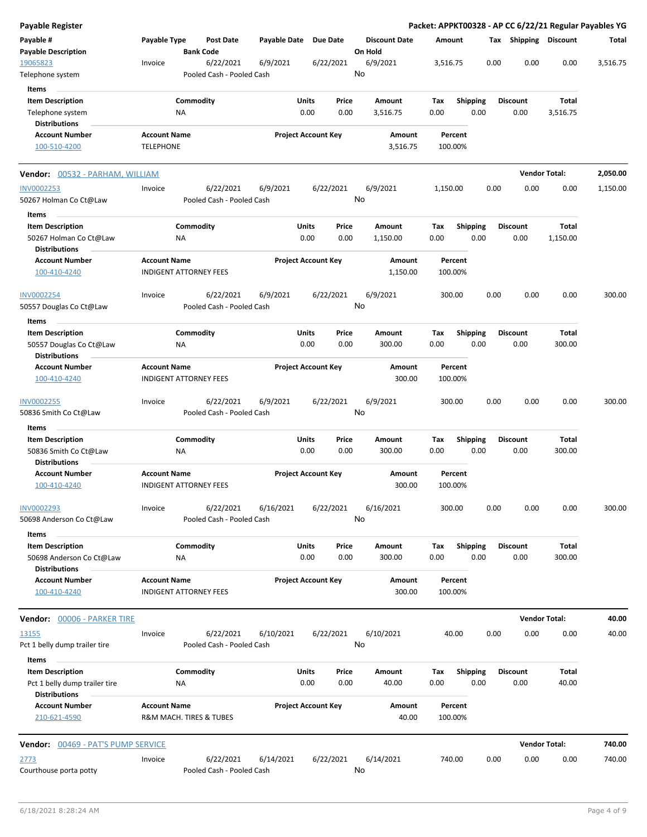| Payable Register                                   |                     |                               |                       |                                |                      | Packet: APPKT00328 - AP CC 6/22/21 Regular Payables YG |                         |                         |                      |          |
|----------------------------------------------------|---------------------|-------------------------------|-----------------------|--------------------------------|----------------------|--------------------------------------------------------|-------------------------|-------------------------|----------------------|----------|
| Payable #                                          | Payable Type        | Post Date                     | Payable Date Due Date |                                | <b>Discount Date</b> | Amount                                                 |                         | Tax Shipping Discount   |                      | Total    |
| <b>Payable Description</b>                         |                     | <b>Bank Code</b>              |                       |                                | On Hold              |                                                        |                         |                         |                      |          |
| 19065823                                           | Invoice             | 6/22/2021                     | 6/9/2021              | 6/22/2021                      | 6/9/2021<br>No       | 3,516.75                                               | 0.00                    | 0.00                    | 0.00                 | 3,516.75 |
| Telephone system                                   |                     | Pooled Cash - Pooled Cash     |                       |                                |                      |                                                        |                         |                         |                      |          |
| Items                                              |                     |                               |                       |                                |                      |                                                        |                         | <b>Discount</b>         |                      |          |
| <b>Item Description</b><br>Telephone system        |                     | Commodity<br>ΝA               |                       | Units<br>Price<br>0.00<br>0.00 | Amount<br>3,516.75   | Tax<br>0.00                                            | <b>Shipping</b><br>0.00 | 0.00                    | Total<br>3,516.75    |          |
| <b>Distributions</b>                               |                     |                               |                       |                                |                      |                                                        |                         |                         |                      |          |
| <b>Account Number</b>                              | <b>Account Name</b> |                               |                       | <b>Project Account Key</b>     | Amount               | Percent                                                |                         |                         |                      |          |
| 100-510-4200                                       | <b>TELEPHONE</b>    |                               |                       |                                | 3,516.75             | 100.00%                                                |                         |                         |                      |          |
| <b>Vendor:</b> 00532 - PARHAM, WILLIAM             |                     |                               |                       |                                |                      |                                                        |                         |                         | <b>Vendor Total:</b> | 2,050.00 |
| <b>INV0002253</b>                                  | Invoice             | 6/22/2021                     | 6/9/2021              | 6/22/2021                      | 6/9/2021             | 1,150.00                                               | 0.00                    | 0.00                    | 0.00                 | 1,150.00 |
| 50267 Holman Co Ct@Law                             |                     | Pooled Cash - Pooled Cash     |                       |                                | No                   |                                                        |                         |                         |                      |          |
| Items                                              |                     |                               |                       |                                |                      |                                                        |                         |                         |                      |          |
| <b>Item Description</b>                            |                     | Commodity                     |                       | <b>Units</b><br>Price          | Amount               | Tax                                                    | <b>Shipping</b>         | <b>Discount</b>         | Total                |          |
| 50267 Holman Co Ct@Law                             |                     | ΝA                            |                       | 0.00<br>0.00                   | 1,150.00             | 0.00                                                   | 0.00                    | 0.00                    | 1,150.00             |          |
| <b>Distributions</b>                               |                     |                               |                       |                                |                      |                                                        |                         |                         |                      |          |
| <b>Account Number</b><br>100-410-4240              | <b>Account Name</b> | <b>INDIGENT ATTORNEY FEES</b> |                       | <b>Project Account Key</b>     | Amount<br>1,150.00   | Percent<br>100.00%                                     |                         |                         |                      |          |
| <b>INV0002254</b>                                  | Invoice             | 6/22/2021                     | 6/9/2021              | 6/22/2021                      | 6/9/2021             | 300.00                                                 | 0.00                    | 0.00                    | 0.00                 | 300.00   |
| 50557 Douglas Co Ct@Law                            |                     | Pooled Cash - Pooled Cash     |                       |                                | No                   |                                                        |                         |                         |                      |          |
| Items                                              |                     |                               |                       |                                |                      |                                                        |                         |                         |                      |          |
| <b>Item Description</b><br>50557 Douglas Co Ct@Law |                     | Commodity<br>ΝA               |                       | Units<br>Price<br>0.00<br>0.00 | Amount<br>300.00     | Tax<br>0.00                                            | <b>Shipping</b><br>0.00 | <b>Discount</b><br>0.00 | Total<br>300.00      |          |
| <b>Distributions</b>                               |                     |                               |                       |                                |                      |                                                        |                         |                         |                      |          |
| <b>Account Number</b><br>100-410-4240              | <b>Account Name</b> | <b>INDIGENT ATTORNEY FEES</b> |                       | <b>Project Account Key</b>     | Amount<br>300.00     | Percent<br>100.00%                                     |                         |                         |                      |          |
| INV0002255                                         | Invoice             | 6/22/2021                     | 6/9/2021              | 6/22/2021                      | 6/9/2021             | 300.00                                                 | 0.00                    | 0.00                    | 0.00                 | 300.00   |
| 50836 Smith Co Ct@Law                              |                     | Pooled Cash - Pooled Cash     |                       |                                | No                   |                                                        |                         |                         |                      |          |
| Items                                              |                     |                               |                       |                                |                      |                                                        |                         |                         |                      |          |
| <b>Item Description</b>                            |                     | Commodity                     |                       | Units<br>Price                 | Amount               | Tax                                                    | <b>Shipping</b>         | <b>Discount</b>         | <b>Total</b>         |          |
| 50836 Smith Co Ct@Law<br>Distributions             |                     | ΝA                            |                       | 0.00<br>0.00                   | 300.00               | 0.00                                                   | 0.00                    | 0.00                    | 300.00               |          |
| <b>Account Number</b>                              | <b>Account Name</b> |                               |                       | <b>Project Account Key</b>     | Amount               | Percent                                                |                         |                         |                      |          |
| 100-410-4240                                       |                     | <b>INDIGENT ATTORNEY FEES</b> |                       |                                | 300.00               | 100.00%                                                |                         |                         |                      |          |
| INV0002293                                         | Invoice             | 6/22/2021                     | 6/16/2021             | 6/22/2021                      | 6/16/2021            | 300.00                                                 | 0.00                    | 0.00                    | 0.00                 | 300.00   |
| 50698 Anderson Co Ct@Law                           |                     | Pooled Cash - Pooled Cash     |                       |                                | No                   |                                                        |                         |                         |                      |          |
| Items                                              |                     |                               |                       |                                |                      |                                                        |                         |                         |                      |          |
| <b>Item Description</b>                            |                     | Commodity                     |                       | Units<br>Price                 | Amount               | Tax                                                    | Shipping                | <b>Discount</b>         | Total                |          |
| 50698 Anderson Co Ct@Law<br><b>Distributions</b>   |                     | NA                            |                       | 0.00<br>0.00                   | 300.00               | 0.00                                                   | 0.00                    | 0.00                    | 300.00               |          |
| <b>Account Number</b>                              | <b>Account Name</b> |                               |                       | <b>Project Account Key</b>     | Amount               | Percent                                                |                         |                         |                      |          |
| 100-410-4240                                       |                     | <b>INDIGENT ATTORNEY FEES</b> |                       |                                | 300.00               | 100.00%                                                |                         |                         |                      |          |
|                                                    |                     |                               |                       |                                |                      |                                                        |                         |                         | <b>Vendor Total:</b> | 40.00    |
| <u>13155</u>                                       | Invoice             | 6/22/2021                     | 6/10/2021             | 6/22/2021                      | 6/10/2021            | 40.00                                                  | 0.00                    | 0.00                    | 0.00                 | 40.00    |
| Pct 1 belly dump trailer tire                      |                     | Pooled Cash - Pooled Cash     |                       |                                | No                   |                                                        |                         |                         |                      |          |
| Items<br><b>Item Description</b>                   |                     | Commodity                     |                       | Units<br>Price                 | Amount               | Tax                                                    | <b>Shipping</b>         | <b>Discount</b>         | Total                |          |
| Pct 1 belly dump trailer tire                      |                     | ΝA                            |                       | 0.00<br>0.00                   | 40.00                | 0.00                                                   | 0.00                    | 0.00                    | 40.00                |          |
| <b>Distributions</b>                               |                     |                               |                       |                                |                      |                                                        |                         |                         |                      |          |
| <b>Account Number</b>                              | <b>Account Name</b> |                               |                       | <b>Project Account Key</b>     | Amount               | Percent                                                |                         |                         |                      |          |
| 210-621-4590                                       |                     | R&M MACH. TIRES & TUBES       |                       |                                | 40.00                | 100.00%                                                |                         |                         |                      |          |
| Vendor: 00469 - PAT'S PUMP SERVICE                 |                     |                               |                       |                                |                      |                                                        |                         |                         | <b>Vendor Total:</b> | 740.00   |
| <u> 2773</u>                                       | Invoice             | 6/22/2021                     | 6/14/2021             | 6/22/2021                      | 6/14/2021            | 740.00                                                 | 0.00                    | 0.00                    | 0.00                 | 740.00   |
| Courthouse porta potty                             |                     | Pooled Cash - Pooled Cash     |                       |                                | No                   |                                                        |                         |                         |                      |          |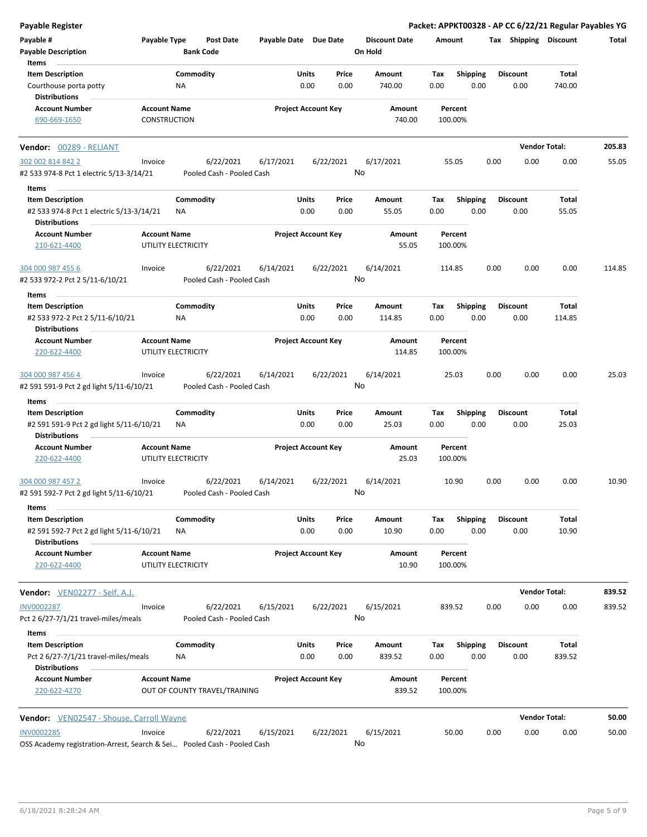| Payable Register                                                        |                     |                                        |                            |               |               |                                 |                    |                  |      |                         | Packet: APPKT00328 - AP CC 6/22/21 Regular Payables YG |        |
|-------------------------------------------------------------------------|---------------------|----------------------------------------|----------------------------|---------------|---------------|---------------------------------|--------------------|------------------|------|-------------------------|--------------------------------------------------------|--------|
| Payable #                                                               | Payable Type        | <b>Post Date</b><br><b>Bank Code</b>   | Payable Date Due Date      |               |               | <b>Discount Date</b><br>On Hold | Amount             |                  |      | Tax Shipping Discount   |                                                        | Total  |
| <b>Payable Description</b><br>Items                                     |                     |                                        |                            |               |               |                                 |                    |                  |      |                         |                                                        |        |
| <b>Item Description</b>                                                 |                     | Commodity                              |                            | Units         | Price         | Amount                          | Tax                | <b>Shipping</b>  |      | <b>Discount</b>         | Total                                                  |        |
| Courthouse porta potty<br><b>Distributions</b>                          |                     | ΝA                                     |                            | 0.00          | 0.00          | 740.00                          | 0.00               | 0.00             |      | 0.00                    | 740.00                                                 |        |
| <b>Account Number</b>                                                   | <b>Account Name</b> |                                        | <b>Project Account Key</b> |               |               | Amount                          | Percent            |                  |      |                         |                                                        |        |
| 690-669-1650                                                            | <b>CONSTRUCTION</b> |                                        |                            |               |               | 740.00                          | 100.00%            |                  |      |                         |                                                        |        |
| Vendor: 00289 - RELIANT                                                 |                     |                                        |                            |               |               |                                 |                    |                  |      |                         | <b>Vendor Total:</b>                                   | 205.83 |
| 302 002 814 842 2                                                       | Invoice             | 6/22/2021                              | 6/17/2021                  |               | 6/22/2021     | 6/17/2021                       | 55.05              |                  | 0.00 | 0.00                    | 0.00                                                   | 55.05  |
| #2 533 974-8 Pct 1 electric 5/13-3/14/21                                |                     | Pooled Cash - Pooled Cash              |                            |               |               | No                              |                    |                  |      |                         |                                                        |        |
| Items                                                                   |                     |                                        |                            |               |               |                                 |                    |                  |      |                         |                                                        |        |
| <b>Item Description</b>                                                 |                     | Commodity                              |                            | Units         | Price         | Amount                          | Tax                | <b>Shipping</b>  |      | <b>Discount</b>         | Total                                                  |        |
| #2 533 974-8 Pct 1 electric 5/13-3/14/21<br><b>Distributions</b>        |                     | ΝA                                     |                            | 0.00          | 0.00          | 55.05                           | 0.00               | 0.00             |      | 0.00                    | 55.05                                                  |        |
| <b>Account Number</b><br>210-621-4400                                   | <b>Account Name</b> | UTILITY ELECTRICITY                    | <b>Project Account Key</b> |               |               | Amount<br>55.05                 | Percent<br>100.00% |                  |      |                         |                                                        |        |
| 304 000 987 455 6                                                       | Invoice             | 6/22/2021                              | 6/14/2021                  |               | 6/22/2021     | 6/14/2021                       | 114.85             |                  | 0.00 | 0.00                    | 0.00                                                   | 114.85 |
| #2 533 972-2 Pct 2 5/11-6/10/21                                         |                     | Pooled Cash - Pooled Cash              |                            |               |               | No                              |                    |                  |      |                         |                                                        |        |
| Items                                                                   |                     |                                        |                            |               |               |                                 |                    |                  |      |                         |                                                        |        |
| <b>Item Description</b>                                                 |                     | Commodity                              |                            | Units         | Price         | Amount                          | Tax                | <b>Shipping</b>  |      | Discount                | Total                                                  |        |
| #2 533 972-2 Pct 2 5/11-6/10/21                                         |                     | NA                                     |                            | 0.00          | 0.00          | 114.85                          | 0.00               | 0.00             |      | 0.00                    | 114.85                                                 |        |
| <b>Distributions</b>                                                    |                     |                                        |                            |               |               |                                 |                    |                  |      |                         |                                                        |        |
| <b>Account Number</b><br>220-622-4400                                   | <b>Account Name</b> | UTILITY ELECTRICITY                    | <b>Project Account Key</b> |               |               | Amount<br>114.85                | Percent<br>100.00% |                  |      |                         |                                                        |        |
| 304 000 987 456 4                                                       | Invoice             | 6/22/2021                              | 6/14/2021                  |               | 6/22/2021     | 6/14/2021                       | 25.03              |                  | 0.00 | 0.00                    | 0.00                                                   | 25.03  |
| #2 591 591-9 Pct 2 gd light 5/11-6/10/21                                |                     | Pooled Cash - Pooled Cash              |                            |               |               | No                              |                    |                  |      |                         |                                                        |        |
| Items                                                                   |                     |                                        |                            |               |               |                                 |                    |                  |      |                         |                                                        |        |
| <b>Item Description</b>                                                 |                     | Commodity                              |                            | Units         | Price         | Amount                          | Tax                | <b>Shipping</b>  |      | Discount                | Total                                                  |        |
| #2 591 591-9 Pct 2 gd light 5/11-6/10/21                                |                     | ΝA                                     |                            | 0.00          | 0.00          | 25.03                           | 0.00               | 0.00             |      | 0.00                    | 25.03                                                  |        |
| <b>Distributions</b>                                                    |                     |                                        |                            |               |               |                                 |                    |                  |      |                         |                                                        |        |
| <b>Account Number</b>                                                   | <b>Account Name</b> |                                        | <b>Project Account Key</b> |               |               | Amount                          | Percent            |                  |      |                         |                                                        |        |
| 220-622-4400                                                            |                     | UTILITY ELECTRICITY                    |                            |               |               | 25.03                           | 100.00%            |                  |      |                         |                                                        |        |
| 304 000 987 457 2<br>#2 591 592-7 Pct 2 gd light 5/11-6/10/21           | Invoice             | 6/22/2021<br>Pooled Cash - Pooled Cash | 6/14/2021                  |               | 6/22/2021     | 6/14/2021<br>No                 | 10.90              |                  | 0.00 | 0.00                    | 0.00                                                   | 10.90  |
|                                                                         |                     |                                        |                            |               |               |                                 |                    |                  |      |                         |                                                        |        |
| Items                                                                   |                     |                                        |                            |               |               |                                 |                    |                  |      |                         |                                                        |        |
| <b>Item Description</b>                                                 |                     | Commodity                              |                            | Units         | Price         | Amount                          | Тах                | <b>Shipping</b>  |      | <b>Discount</b>         | Total                                                  |        |
| #2 591 592-7 Pct 2 gd light 5/11-6/10/21<br><b>Distributions</b>        |                     | ΝA                                     |                            | 0.00          | 0.00          | 10.90                           | 0.00               | 0.00             |      | 0.00                    | 10.90                                                  |        |
| <b>Account Number</b><br>220-622-4400                                   | <b>Account Name</b> | UTILITY ELECTRICITY                    | <b>Project Account Key</b> |               |               | Amount<br>10.90                 | Percent<br>100.00% |                  |      |                         |                                                        |        |
| <b>Vendor:</b> VEN02277 - Self, A.J.                                    |                     |                                        |                            |               |               |                                 |                    |                  |      |                         | <b>Vendor Total:</b>                                   | 839.52 |
| <b>INV0002287</b>                                                       | Invoice             | 6/22/2021                              | 6/15/2021                  |               | 6/22/2021     | 6/15/2021                       | 839.52             |                  | 0.00 | 0.00                    | 0.00                                                   | 839.52 |
| Pct 2 6/27-7/1/21 travel-miles/meals                                    |                     | Pooled Cash - Pooled Cash              |                            |               |               | No                              |                    |                  |      |                         |                                                        |        |
| Items                                                                   |                     |                                        |                            |               |               |                                 |                    |                  |      |                         |                                                        |        |
| <b>Item Description</b><br>Pct 2 6/27-7/1/21 travel-miles/meals         |                     | Commodity<br>ΝA                        |                            | Units<br>0.00 | Price<br>0.00 | Amount<br>839.52                | Тах<br>0.00        | Shipping<br>0.00 |      | <b>Discount</b><br>0.00 | Total<br>839.52                                        |        |
| <b>Distributions</b><br><b>Account Number</b>                           | <b>Account Name</b> |                                        | <b>Project Account Key</b> |               |               |                                 |                    |                  |      |                         |                                                        |        |
| 220-622-4270                                                            |                     | OUT OF COUNTY TRAVEL/TRAINING          |                            |               |               | Amount<br>839.52                | Percent<br>100.00% |                  |      |                         |                                                        |        |
| <b>Vendor:</b> VEN02547 - Shouse, Carroll Wayne                         |                     |                                        |                            |               |               |                                 |                    |                  |      |                         | <b>Vendor Total:</b>                                   | 50.00  |
| <b>INV0002285</b>                                                       | Invoice             | 6/22/2021                              | 6/15/2021                  |               | 6/22/2021     | 6/15/2021                       | 50.00              |                  | 0.00 | 0.00                    | 0.00                                                   | 50.00  |
| OSS Academy registration-Arrest, Search & Sei Pooled Cash - Pooled Cash |                     |                                        |                            |               |               | No                              |                    |                  |      |                         |                                                        |        |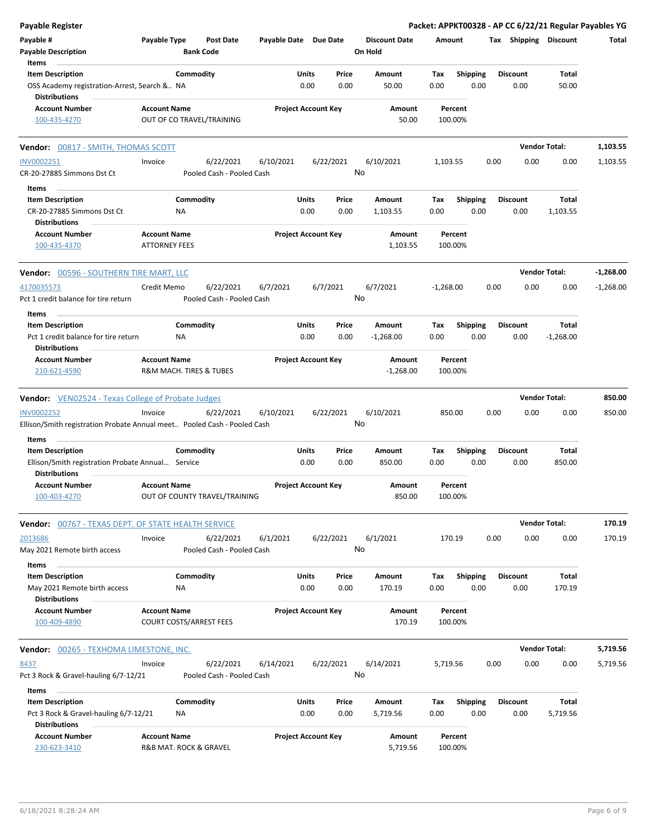| Payable Register                                                                              |                                                       |                                        |                       |                            |               |                                 |             |                         |      |                         | Packet: APPKT00328 - AP CC 6/22/21 Regular Payables YG |             |
|-----------------------------------------------------------------------------------------------|-------------------------------------------------------|----------------------------------------|-----------------------|----------------------------|---------------|---------------------------------|-------------|-------------------------|------|-------------------------|--------------------------------------------------------|-------------|
| Payable #<br><b>Payable Description</b>                                                       | Payable Type<br><b>Bank Code</b>                      | <b>Post Date</b>                       | Payable Date Due Date |                            |               | <b>Discount Date</b><br>On Hold | Amount      |                         |      |                         | Tax Shipping Discount                                  | Total       |
| Items<br><b>Item Description</b>                                                              | Commodity                                             |                                        |                       | Units                      | Price         | Amount                          | Tax         | <b>Shipping</b>         |      | <b>Discount</b>         | Total                                                  |             |
| OSS Academy registration-Arrest, Search & NA<br><b>Distributions</b>                          |                                                       |                                        |                       | 0.00                       | 0.00          | 50.00                           | 0.00        | 0.00                    |      | 0.00                    | 50.00                                                  |             |
| <b>Account Number</b><br>100-435-4270                                                         | <b>Account Name</b><br>OUT OF CO TRAVEL/TRAINING      |                                        |                       | <b>Project Account Key</b> |               | Amount<br>50.00                 |             | Percent<br>100.00%      |      |                         |                                                        |             |
| Vendor: 00817 - SMITH, THOMAS SCOTT                                                           |                                                       |                                        |                       |                            |               |                                 |             |                         |      |                         | <b>Vendor Total:</b>                                   | 1,103.55    |
| <b>INV0002251</b><br>CR-20-27885 Simmons Dst Ct                                               | Invoice                                               | 6/22/2021<br>Pooled Cash - Pooled Cash | 6/10/2021             |                            | 6/22/2021     | 6/10/2021<br>No                 | 1,103.55    |                         | 0.00 | 0.00                    | 0.00                                                   | 1,103.55    |
| Items                                                                                         |                                                       |                                        |                       |                            |               |                                 |             |                         |      |                         |                                                        |             |
| <b>Item Description</b>                                                                       | Commodity                                             |                                        |                       | Units                      | Price         | Amount                          | Tax         | <b>Shipping</b>         |      | <b>Discount</b>         | Total                                                  |             |
| CR-20-27885 Simmons Dst Ct<br><b>Distributions</b>                                            | ΝA                                                    |                                        |                       | 0.00                       | 0.00          | 1,103.55                        | 0.00        | 0.00                    |      | 0.00                    | 1,103.55                                               |             |
| <b>Account Number</b><br>100-435-4370                                                         | <b>Account Name</b><br><b>ATTORNEY FEES</b>           |                                        |                       | <b>Project Account Key</b> |               | Amount<br>1,103.55              |             | Percent<br>100.00%      |      |                         |                                                        |             |
| <b>Vendor: 00596 - SOUTHERN TIRE MART, LLC</b>                                                |                                                       |                                        |                       |                            |               |                                 |             |                         |      |                         | <b>Vendor Total:</b>                                   | $-1,268.00$ |
| 4170035573<br>Pct 1 credit balance for tire return                                            | Credit Memo                                           | 6/22/2021<br>Pooled Cash - Pooled Cash | 6/7/2021              |                            | 6/7/2021      | 6/7/2021<br>No                  | $-1,268.00$ |                         | 0.00 | 0.00                    | 0.00                                                   | $-1,268.00$ |
| Items                                                                                         |                                                       |                                        |                       |                            |               |                                 |             |                         |      |                         |                                                        |             |
| <b>Item Description</b><br>Pct 1 credit balance for tire return                               | Commodity<br>NA                                       |                                        |                       | Units<br>0.00              | Price<br>0.00 | Amount<br>$-1,268.00$           | Tax<br>0.00 | <b>Shipping</b><br>0.00 |      | <b>Discount</b><br>0.00 | Total<br>$-1,268.00$                                   |             |
| <b>Distributions</b>                                                                          |                                                       |                                        |                       |                            |               |                                 |             |                         |      |                         |                                                        |             |
| <b>Account Number</b><br>210-621-4590                                                         | <b>Account Name</b><br>R&M MACH. TIRES & TUBES        |                                        |                       | <b>Project Account Key</b> |               | Amount<br>$-1,268.00$           |             | Percent<br>100.00%      |      |                         |                                                        |             |
| <b>Vendor:</b> VEN02524 - Texas College of Probate Judges                                     |                                                       |                                        |                       |                            |               |                                 |             |                         |      |                         | <b>Vendor Total:</b>                                   | 850.00      |
| <b>INV0002252</b><br>Ellison/Smith registration Probate Annual meet Pooled Cash - Pooled Cash | Invoice                                               | 6/22/2021                              | 6/10/2021             |                            | 6/22/2021     | 6/10/2021<br>No                 | 850.00      |                         | 0.00 | 0.00                    | 0.00                                                   | 850.00      |
| Items                                                                                         |                                                       |                                        |                       |                            |               |                                 |             |                         |      |                         |                                                        |             |
| <b>Item Description</b><br>Ellison/Smith registration Probate Annual Service                  | Commodity                                             |                                        |                       | Units<br>0.00              | Price<br>0.00 | Amount<br>850.00                | Tax<br>0.00 | <b>Shipping</b><br>0.00 |      | <b>Discount</b><br>0.00 | Total<br>850.00                                        |             |
| <b>Distributions</b><br><b>Account Number</b><br>100-403-4270                                 | <b>Account Name</b><br>OUT OF COUNTY TRAVEL/TRAINING  |                                        |                       | <b>Project Account Key</b> |               | Amount<br>850.00                |             | Percent<br>100.00%      |      |                         |                                                        |             |
|                                                                                               |                                                       |                                        |                       |                            |               |                                 |             |                         |      |                         |                                                        |             |
| Vendor: 00767 - TEXAS DEPT. OF STATE HEALTH SERVICE                                           |                                                       |                                        |                       |                            |               |                                 |             |                         |      |                         | <b>Vendor Total:</b>                                   | 170.19      |
| 2013686<br>May 2021 Remote birth access                                                       | Invoice                                               | 6/22/2021<br>Pooled Cash - Pooled Cash | 6/1/2021              |                            | 6/22/2021     | 6/1/2021<br>No                  | 170.19      |                         | 0.00 | 0.00                    | 0.00                                                   | 170.19      |
| Items                                                                                         |                                                       |                                        |                       |                            |               |                                 |             |                         |      |                         |                                                        |             |
| <b>Item Description</b><br>May 2021 Remote birth access<br><b>Distributions</b>               | Commodity<br>NA                                       |                                        |                       | Units<br>0.00              | Price<br>0.00 | Amount<br>170.19                | Tax<br>0.00 | <b>Shipping</b><br>0.00 |      | <b>Discount</b><br>0.00 | Total<br>170.19                                        |             |
| <b>Account Number</b><br>100-409-4890                                                         | <b>Account Name</b><br><b>COURT COSTS/ARREST FEES</b> |                                        |                       | <b>Project Account Key</b> |               | Amount<br>170.19                |             | Percent<br>100.00%      |      |                         |                                                        |             |
| <b>Vendor:</b> 00265 - TEXHOMA LIMESTONE, INC.                                                |                                                       |                                        |                       |                            |               |                                 |             |                         |      |                         | <b>Vendor Total:</b>                                   | 5,719.56    |
| 8437<br>Pct 3 Rock & Gravel-hauling 6/7-12/21                                                 | Invoice                                               | 6/22/2021<br>Pooled Cash - Pooled Cash | 6/14/2021             |                            | 6/22/2021     | 6/14/2021<br>No                 | 5,719.56    |                         | 0.00 | 0.00                    | 0.00                                                   | 5,719.56    |
| Items                                                                                         |                                                       |                                        |                       |                            |               |                                 |             |                         |      |                         |                                                        |             |
| <b>Item Description</b><br>Pct 3 Rock & Gravel-hauling 6/7-12/21                              | Commodity<br>NA                                       |                                        |                       | Units<br>0.00              | Price<br>0.00 | Amount<br>5,719.56              | Tax<br>0.00 | Shipping<br>0.00        |      | <b>Discount</b><br>0.00 | Total<br>5,719.56                                      |             |
| <b>Distributions</b><br><b>Account Number</b><br>230-623-3410                                 | <b>Account Name</b><br>R&B MAT. ROCK & GRAVEL         |                                        |                       | <b>Project Account Key</b> |               | Amount<br>5,719.56              |             | Percent<br>100.00%      |      |                         |                                                        |             |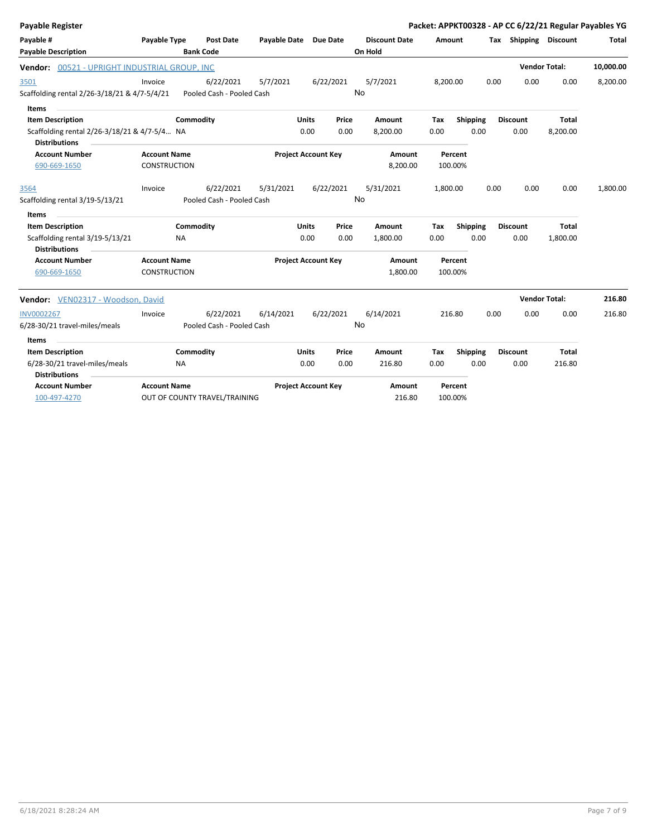| Payable Register                              |                     |                               |                       |                            |           |                      |          |          |      |                       |              | Packet: APPKT00328 - AP CC 6/22/21 Regular Payables YG |
|-----------------------------------------------|---------------------|-------------------------------|-----------------------|----------------------------|-----------|----------------------|----------|----------|------|-----------------------|--------------|--------------------------------------------------------|
| Payable #                                     | Payable Type        | <b>Post Date</b>              | Payable Date Due Date |                            |           | <b>Discount Date</b> | Amount   |          |      | Tax Shipping Discount |              | Total                                                  |
| <b>Payable Description</b>                    |                     | <b>Bank Code</b>              |                       |                            |           | On Hold              |          |          |      |                       |              |                                                        |
| Vendor: 00521 - UPRIGHT INDUSTRIAL GROUP, INC |                     |                               |                       |                            |           |                      |          |          |      | <b>Vendor Total:</b>  |              | 10,000.00                                              |
| 3501                                          | Invoice             | 6/22/2021                     | 5/7/2021              |                            | 6/22/2021 | 5/7/2021             | 8,200.00 |          | 0.00 | 0.00                  | 0.00         | 8,200.00                                               |
| Scaffolding rental 2/26-3/18/21 & 4/7-5/4/21  |                     | Pooled Cash - Pooled Cash     |                       |                            |           | No                   |          |          |      |                       |              |                                                        |
| <b>Items</b>                                  |                     |                               |                       |                            |           |                      |          |          |      |                       |              |                                                        |
| <b>Item Description</b>                       |                     | Commodity                     |                       | <b>Units</b>               | Price     | Amount               | Tax      | Shipping |      | <b>Discount</b>       | <b>Total</b> |                                                        |
| Scaffolding rental 2/26-3/18/21 & 4/7-5/4 NA  |                     |                               |                       | 0.00                       | 0.00      | 8,200.00             | 0.00     | 0.00     |      | 0.00                  | 8,200.00     |                                                        |
| <b>Distributions</b>                          |                     |                               |                       |                            |           |                      |          |          |      |                       |              |                                                        |
| <b>Account Number</b>                         | <b>Account Name</b> |                               |                       | <b>Project Account Key</b> |           | Amount               |          | Percent  |      |                       |              |                                                        |
| 690-669-1650                                  | <b>CONSTRUCTION</b> |                               |                       |                            |           | 8,200.00             |          | 100.00%  |      |                       |              |                                                        |
| 3564                                          | Invoice             | 6/22/2021                     | 5/31/2021             |                            | 6/22/2021 | 5/31/2021            | 1,800.00 |          | 0.00 | 0.00                  | 0.00         | 1,800.00                                               |
| Scaffolding rental 3/19-5/13/21               |                     | Pooled Cash - Pooled Cash     |                       |                            |           | No                   |          |          |      |                       |              |                                                        |
| Items                                         |                     |                               |                       |                            |           |                      |          |          |      |                       |              |                                                        |
| <b>Item Description</b>                       |                     | Commodity                     |                       | <b>Units</b>               | Price     | Amount               | Tax      | Shipping |      | <b>Discount</b>       | <b>Total</b> |                                                        |
| Scaffolding rental 3/19-5/13/21               | <b>NA</b>           |                               |                       | 0.00                       | 0.00      | 1,800.00             | 0.00     | 0.00     |      | 0.00                  | 1,800.00     |                                                        |
| <b>Distributions</b>                          |                     |                               |                       |                            |           |                      |          |          |      |                       |              |                                                        |
| <b>Account Number</b>                         | <b>Account Name</b> |                               |                       | <b>Project Account Key</b> |           | Amount               |          | Percent  |      |                       |              |                                                        |
| 690-669-1650                                  | <b>CONSTRUCTION</b> |                               |                       |                            |           | 1,800.00             |          | 100.00%  |      |                       |              |                                                        |
| Vendor: VEN02317 - Woodson, David             |                     |                               |                       |                            |           |                      |          |          |      | <b>Vendor Total:</b>  |              | 216.80                                                 |
| <b>INV0002267</b>                             | Invoice             | 6/22/2021                     | 6/14/2021             |                            | 6/22/2021 | 6/14/2021            | 216.80   |          | 0.00 | 0.00                  | 0.00         | 216.80                                                 |
| 6/28-30/21 travel-miles/meals                 |                     | Pooled Cash - Pooled Cash     |                       |                            |           | No                   |          |          |      |                       |              |                                                        |
| Items                                         |                     |                               |                       |                            |           |                      |          |          |      |                       |              |                                                        |
| <b>Item Description</b>                       |                     | Commodity                     |                       | <b>Units</b>               | Price     | Amount               | Tax      | Shipping |      | <b>Discount</b>       | <b>Total</b> |                                                        |
| 6/28-30/21 travel-miles/meals                 | <b>NA</b>           |                               |                       | 0.00                       | 0.00      | 216.80               | 0.00     | 0.00     |      | 0.00                  | 216.80       |                                                        |
| <b>Distributions</b>                          |                     |                               |                       |                            |           |                      |          |          |      |                       |              |                                                        |
| <b>Account Number</b>                         | <b>Account Name</b> |                               |                       | <b>Project Account Key</b> |           | Amount               |          | Percent  |      |                       |              |                                                        |
| 100-497-4270                                  |                     | OUT OF COUNTY TRAVEL/TRAINING |                       |                            |           | 216.80               |          | 100.00%  |      |                       |              |                                                        |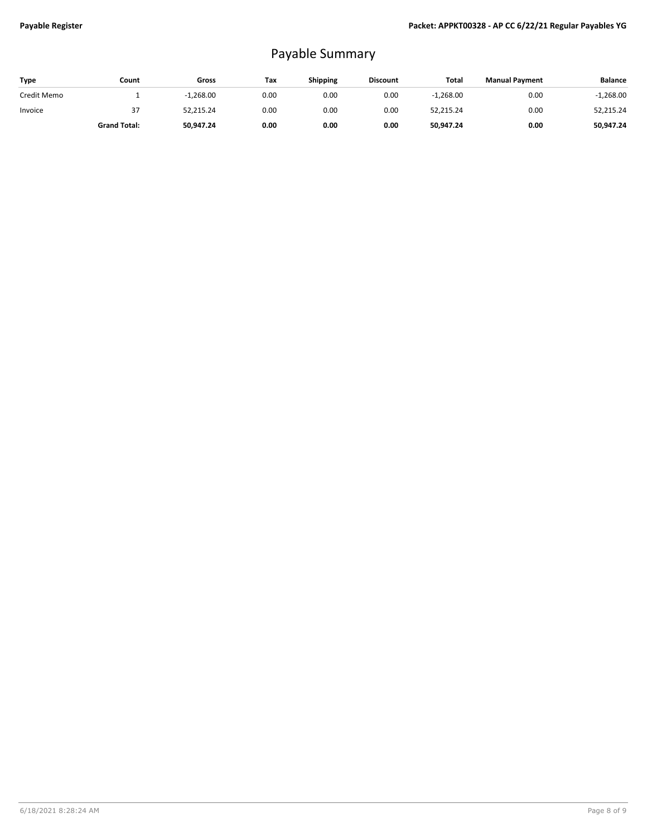## Payable Summary

| Type        | Count               | Gross       | Tax  | <b>Shipping</b> | <b>Discount</b> | Total       | <b>Manual Payment</b> | <b>Balance</b> |
|-------------|---------------------|-------------|------|-----------------|-----------------|-------------|-----------------------|----------------|
| Credit Memo |                     | $-1,268.00$ | 0.00 | 0.00            | 0.00            | $-1,268.00$ | 0.00                  | $-1,268.00$    |
| Invoice     | 37                  | 52,215.24   | 0.00 | 0.00            | 0.00            | 52,215.24   | 0.00                  | 52,215.24      |
|             | <b>Grand Total:</b> | 50,947.24   | 0.00 | 0.00            | 0.00            | 50,947.24   | 0.00                  | 50,947.24      |